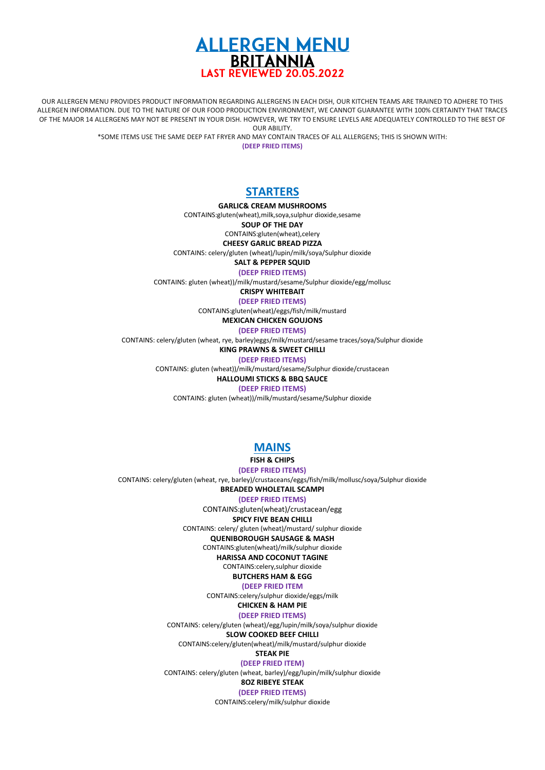

OUR ALLERGEN MENU PROVIDES PRODUCT INFORMATION REGARDING ALLERGENS IN EACH DISH, OUR KITCHEN TEAMS ARE TRAINED TO ADHERE TO THIS ALLERGEN INFORMATION. DUE TO THE NATURE OF OUR FOOD PRODUCTION ENVIRONMENT, WE CANNOT GUARANTEE WITH 100% CERTAINTY THAT TRACES OF THE MAJOR 14 ALLERGENS MAY NOT BE PRESENT IN YOUR DISH. HOWEVER, WE TRY TO ENSURE LEVELS ARE ADEQUATELY CONTROLLED TO THE BEST OF OUR ABILITY.

\*SOME ITEMS USE THE SAME DEEP FAT FRYER AND MAY CONTAIN TRACES OF ALL ALLERGENS; THIS IS SHOWN WITH:

**(DEEP FRIED ITEMS)**

# **STARTERS**

**GARLIC& CREAM MUSHROOMS**

CONTAINS:gluten(wheat),milk,soya,sulphur dioxide,sesame

**SOUP OF THE DAY**

CONTAINS:gluten(wheat),celery

**CHEESY GARLIC BREAD PIZZA**

CONTAINS: celery/gluten (wheat)/lupin/milk/soya/Sulphur dioxide

**SALT & PEPPER SQUID**

**(DEEP FRIED ITEMS)**

CONTAINS: gluten (wheat))/milk/mustard/sesame/Sulphur dioxide/egg/mollusc

**CRISPY WHITEBAIT**

**(DEEP FRIED ITEMS)** CONTAINS:gluten(wheat)/eggs/fish/milk/mustard

**MEXICAN CHICKEN GOUJONS**

**(DEEP FRIED ITEMS)**

CONTAINS: celery/gluten (wheat, rye, barley)eggs/milk/mustard/sesame traces/soya/Sulphur dioxide

**KING PRAWNS & SWEET CHILLI (DEEP FRIED ITEMS)**

CONTAINS: gluten (wheat))/milk/mustard/sesame/Sulphur dioxide/crustacean

**HALLOUMI STICKS & BBQ SAUCE**

**(DEEP FRIED ITEMS)**

CONTAINS: gluten (wheat))/milk/mustard/sesame/Sulphur dioxide

# **MAINS**

**FISH & CHIPS**

**(DEEP FRIED ITEMS)**

CONTAINS: celery/gluten (wheat, rye, barley)/crustaceans/eggs/fish/milk/mollusc/soya/Sulphur dioxide **BREADED WHOLETAIL SCAMPI** 

**(DEEP FRIED ITEMS)**

CONTAINS:gluten(wheat)/crustacean/egg

**SPICY FIVE BEAN CHILLI**

CONTAINS: celery/ gluten (wheat)/mustard/ sulphur dioxide

**QUENIBOROUGH SAUSAGE & MASH**  CONTAINS:gluten(wheat)/milk/sulphur dioxide

**HARISSA AND COCONUT TAGINE**

CONTAINS:celery,sulphur dioxide

**BUTCHERS HAM & EGG**

#### **(DEEP FRIED ITEM**

CONTAINS:celery/sulphur dioxide/eggs/milk

**CHICKEN & HAM PIE (DEEP FRIED ITEMS)**

CONTAINS: celery/gluten (wheat)/egg/lupin/milk/soya/sulphur dioxide

**SLOW COOKED BEEF CHILLI**

CONTAINS:celery/gluten(wheat)/milk/mustard/sulphur dioxide

**STEAK PIE (DEEP FRIED ITEM)**

CONTAINS: celery/gluten (wheat, barley)/egg/lupin/milk/sulphur dioxide

**8OZ RIBEYE STEAK**

**(DEEP FRIED ITEMS)**

CONTAINS:celery/milk/sulphur dioxide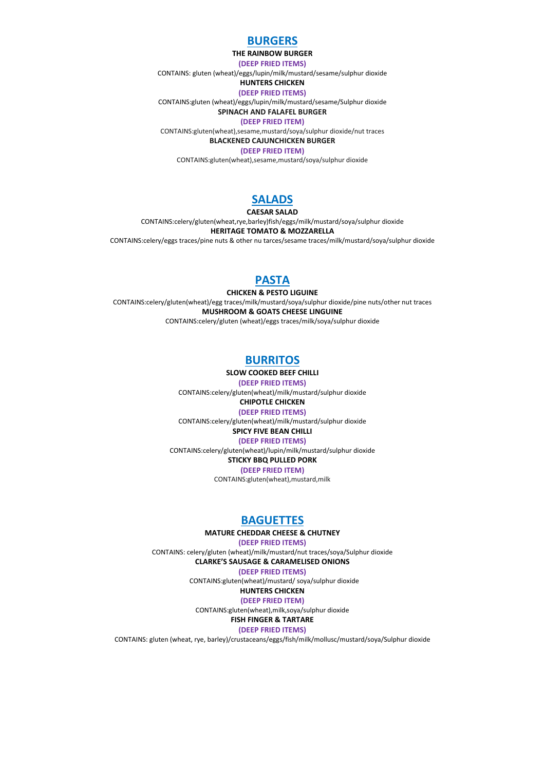# **BURGERS**

#### **THE RAINBOW BURGER**

**(DEEP FRIED ITEMS)**

CONTAINS: gluten (wheat)/eggs/lupin/milk/mustard/sesame/sulphur dioxide

#### **HUNTERS CHICKEN (DEEP FRIED ITEMS)**

CONTAINS:gluten (wheat)/eggs/lupin/milk/mustard/sesame/Sulphur dioxide

**SPINACH AND FALAFEL BURGER**

**(DEEP FRIED ITEM)**

CONTAINS:gluten(wheat),sesame,mustard/soya/sulphur dioxide/nut traces

**BLACKENED CAJUNCHICKEN BURGER (DEEP FRIED ITEM)**

CONTAINS:gluten(wheat),sesame,mustard/soya/sulphur dioxide

# **SALADS**

**CAESAR SALAD**

CONTAINS:celery/gluten(wheat,rye,barley)fish/eggs/milk/mustard/soya/sulphur dioxide **HERITAGE TOMATO & MOZZARELLA** CONTAINS:celery/eggs traces/pine nuts & other nu tarces/sesame traces/milk/mustard/soya/sulphur dioxide

# **PASTA**

**CHICKEN & PESTO LIGUINE** CONTAINS:celery/gluten(wheat)/egg traces/milk/mustard/soya/sulphur dioxide/pine nuts/other nut traces **MUSHROOM & GOATS CHEESE LINGUINE** CONTAINS:celery/gluten (wheat)/eggs traces/milk/soya/sulphur dioxide

# **BURRITOS**

**SLOW COOKED BEEF CHILLI (DEEP FRIED ITEMS)**

CONTAINS:celery/gluten(wheat)/milk/mustard/sulphur dioxide **CHIPOTLE CHICKEN**

# **(DEEP FRIED ITEMS)**

CONTAINS:celery/gluten(wheat)/milk/mustard/sulphur dioxide

**SPICY FIVE BEAN CHILLI (DEEP FRIED ITEMS)**

CONTAINS:celery/gluten(wheat)/lupin/milk/mustard/sulphur dioxide

### **STICKY BBQ PULLED PORK**

**(DEEP FRIED ITEM)**

CONTAINS:gluten(wheat),mustard,milk

# **BAGUETTES**

#### **MATURE CHEDDAR CHEESE & CHUTNEY**

**(DEEP FRIED ITEMS)** CONTAINS: celery/gluten (wheat)/milk/mustard/nut traces/soya/Sulphur dioxide **CLARKE'S SAUSAGE & CARAMELISED ONIONS**

**(DEEP FRIED ITEMS)**

CONTAINS:gluten(wheat)/mustard/ soya/sulphur dioxide

## **HUNTERS CHICKEN**

**(DEEP FRIED ITEM)**

CONTAINS:gluten(wheat),milk,soya/sulphur dioxide

#### **FISH FINGER & TARTARE (DEEP FRIED ITEMS)**

CONTAINS: gluten (wheat, rye, barley)/crustaceans/eggs/fish/milk/mollusc/mustard/soya/Sulphur dioxide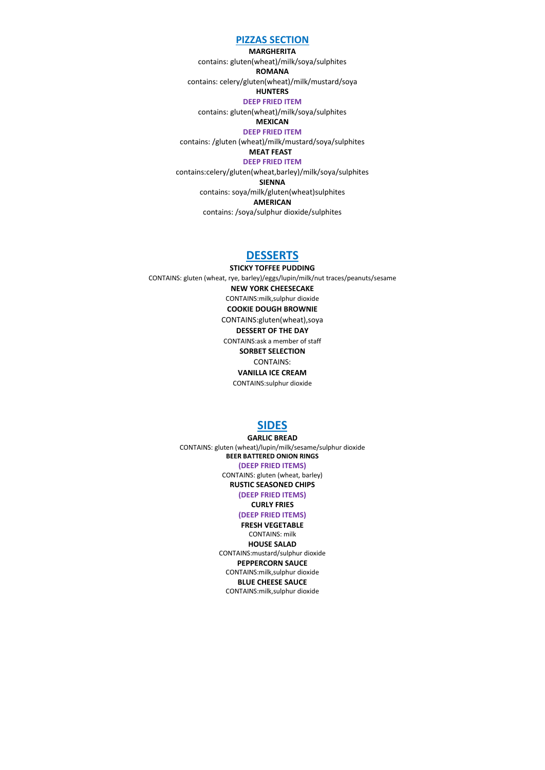#### **PIZZAS SECTION**

**MARGHERITA** contains: gluten(wheat)/milk/soya/sulphites **ROMANA** contains: celery/gluten(wheat)/milk/mustard/soya **HUNTERS DEEP FRIED ITEM** contains: gluten(wheat)/milk/soya/sulphites **MEXICAN DEEP FRIED ITEM** contains: /gluten (wheat)/milk/mustard/soya/sulphites **MEAT FEAST DEEP FRIED ITEM** contains:celery/gluten(wheat,barley)/milk/soya/sulphites **SIENNA** contains: soya/milk/gluten(wheat)sulphites **AMERICAN** contains: /soya/sulphur dioxide/sulphites

### **DESSERTS**

**STICKY TOFFEE PUDDING** CONTAINS: gluten (wheat, rye, barley)/eggs/lupin/milk/nut traces/peanuts/sesame **NEW YORK CHEESECAKE** CONTAINS:milk,sulphur dioxide **COOKIE DOUGH BROWNIE** CONTAINS:gluten(wheat),soya **DESSERT OF THE DAY** CONTAINS:ask a member of staff **SORBET SELECTION** CONTAINS:

**VANILLA ICE CREAM** CONTAINS:sulphur dioxide

# **SIDES**

**GARLIC BREAD** CONTAINS: gluten (wheat)/lupin/milk/sesame/sulphur dioxide **BEER BATTERED ONION RINGS (DEEP FRIED ITEMS)** CONTAINS: gluten (wheat, barley)

**RUSTIC SEASONED CHIPS** 

**(DEEP FRIED ITEMS) CURLY FRIES**

### **(DEEP FRIED ITEMS)**

**FRESH VEGETABLE** CONTAINS: milk **HOUSE SALAD**  CONTAINS:mustard/sulphur dioxide **PEPPERCORN SAUCE** CONTAINS:milk,sulphur dioxide **BLUE CHEESE SAUCE** CONTAINS:milk,sulphur dioxide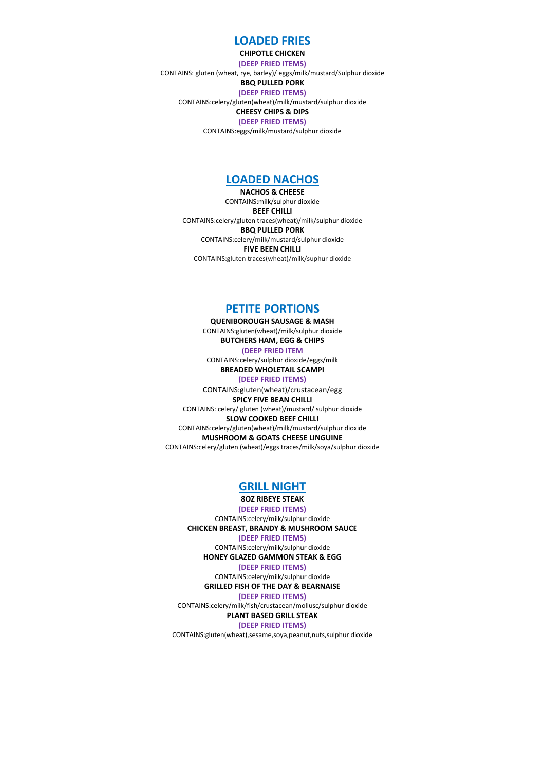### **LOADED FRIES**

**CHIPOTLE CHICKEN (DEEP FRIED ITEMS)** CONTAINS: gluten (wheat, rye, barley)/ eggs/milk/mustard/Sulphur dioxide **BBQ PULLED PORK (DEEP FRIED ITEMS)** CONTAINS:celery/gluten(wheat)/milk/mustard/sulphur dioxide **CHEESY CHIPS & DIPS (DEEP FRIED ITEMS)**

CONTAINS:eggs/milk/mustard/sulphur dioxide

### **LOADED NACHOS**

**NACHOS & CHEESE** CONTAINS:milk/sulphur dioxide **BEEF CHILLI** CONTAINS:celery/gluten traces(wheat)/milk/sulphur dioxide **BBQ PULLED PORK**  CONTAINS:celery/milk/mustard/sulphur dioxide **FIVE BEEN CHILLI** CONTAINS:gluten traces(wheat)/milk/suphur dioxide

### **PETITE PORTIONS**

**QUENIBOROUGH SAUSAGE & MASH**  CONTAINS:gluten(wheat)/milk/sulphur dioxide **BUTCHERS HAM, EGG & CHIPS (DEEP FRIED ITEM** CONTAINS:celery/sulphur dioxide/eggs/milk **BREADED WHOLETAIL SCAMPI (DEEP FRIED ITEMS)** CONTAINS:gluten(wheat)/crustacean/egg **SPICY FIVE BEAN CHILLI** CONTAINS: celery/ gluten (wheat)/mustard/ sulphur dioxide **SLOW COOKED BEEF CHILLI** CONTAINS:celery/gluten(wheat)/milk/mustard/sulphur dioxide **MUSHROOM & GOATS CHEESE LINGUINE** CONTAINS:celery/gluten (wheat)/eggs traces/milk/soya/sulphur dioxide

### **GRILL NIGHT**

**8OZ RIBEYE STEAK (DEEP FRIED ITEMS)** CONTAINS:celery/milk/sulphur dioxide **CHICKEN BREAST, BRANDY & MUSHROOM SAUCE**

**(DEEP FRIED ITEMS)**

CONTAINS:celery/milk/sulphur dioxide **HONEY GLAZED GAMMON STEAK & EGG**

#### **(DEEP FRIED ITEMS)**

CONTAINS:celery/milk/sulphur dioxide **GRILLED FISH OF THE DAY & BEARNAISE**

#### **(DEEP FRIED ITEMS)**

CONTAINS:celery/milk/fish/crustacean/mollusc/sulphur dioxide **PLANT BASED GRILL STEAK**

#### **(DEEP FRIED ITEMS)**

CONTAINS:gluten(wheat),sesame,soya,peanut,nuts,sulphur dioxide